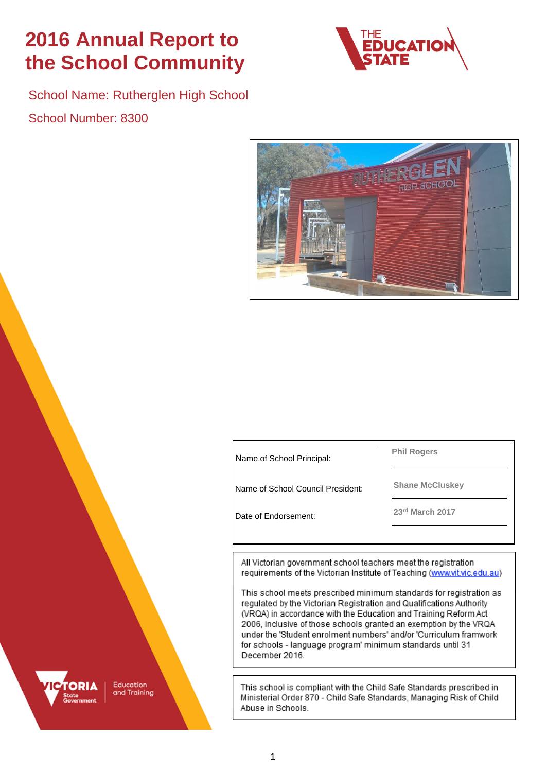# **2016 Annual Report to the School Community**



School Name: Rutherglen High School School Number: 8300



Name of School Principal:

**Phil Rogers**

**Shane McCluskey** Name of School Council President:

**<sup>23</sup>rd March 2017** Date of Endorsement:

All Victorian government school teachers meet the registration requirements of the Victorian Institute of Teaching (www.vit.vic.edu.au)

This school meets prescribed minimum standards for registration as regulated by the Victorian Registration and Qualifications Authority (VRQA) in accordance with the Education and Training Reform Act 2006, inclusive of those schools granted an exemption by the VRQA under the 'Student enrolment numbers' and/or 'Curriculum framwork for schools - language program' minimum standards until 31 December 2016.

This school is compliant with the Child Safe Standards prescribed in Ministerial Order 870 - Child Safe Standards, Managing Risk of Child Abuse in Schools.



Education and Training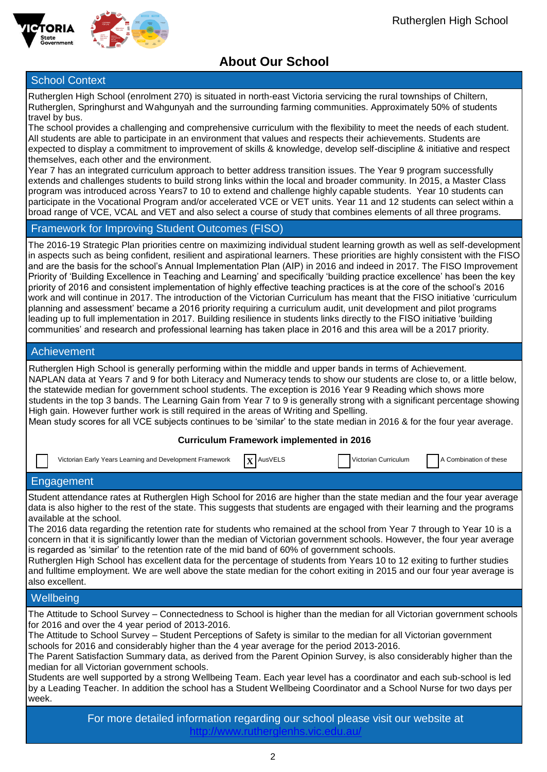



## **About Our School**

### **School Context**

Rutherglen High School (enrolment 270) is situated in north-east Victoria servicing the rural townships of Chiltern, Rutherglen, Springhurst and Wahgunyah and the surrounding farming communities. Approximately 50% of students travel by bus.

The school provides a challenging and comprehensive curriculum with the flexibility to meet the needs of each student. All students are able to participate in an environment that values and respects their achievements. Students are expected to display a commitment to improvement of skills & knowledge, develop self-discipline & initiative and respect themselves, each other and the environment.

Year 7 has an integrated curriculum approach to better address transition issues. The Year 9 program successfully extends and challenges students to build strong links within the local and broader community. In 2015, a Master Class program was introduced across Years7 to 10 to extend and challenge highly capable students. Year 10 students can participate in the Vocational Program and/or accelerated VCE or VET units. Year 11 and 12 students can select within a broad range of VCE, VCAL and VET and also select a course of study that combines elements of all three programs.

### Framework for Improving Student Outcomes (FISO)

The 2016-19 Strategic Plan priorities centre on maximizing individual student learning growth as well as self-development in aspects such as being confident, resilient and aspirational learners. These priorities are highly consistent with the FISO and are the basis for the school's Annual Implementation Plan (AIP) in 2016 and indeed in 2017. The FISO Improvement Priority of 'Building Excellence in Teaching and Learning' and specifically 'building practice excellence' has been the key priority of 2016 and consistent implementation of highly effective teaching practices is at the core of the school's 2016 work and will continue in 2017. The introduction of the Victorian Curriculum has meant that the FISO initiative 'curriculum planning and assessment' became a 2016 priority requiring a curriculum audit, unit development and pilot programs leading up to full implementation in 2017. Building resilience in students links directly to the FISO initiative 'building communities' and research and professional learning has taken place in 2016 and this area will be a 2017 priority.

### Achievement

Rutherglen High School is generally performing within the middle and upper bands in terms of Achievement. NAPLAN data at Years 7 and 9 for both Literacy and Numeracy tends to show our students are close to, or a little below, the statewide median for government school students. The exception is 2016 Year 9 Reading which shows more students in the top 3 bands. The Learning Gain from Year 7 to 9 is generally strong with a significant percentage showing High gain. However further work is still required in the areas of Writing and Spelling. Mean study scores for all VCE subjects continues to be 'similar' to the state median in 2016 & for the four year average.

### **Curriculum Framework implemented in 2016**

| Victorian Early Years Learning and Development Framework | $\mathbf{x}$ AusVELS | Victorian Curriculum | A Combination of these |
|----------------------------------------------------------|----------------------|----------------------|------------------------|
| Engagement                                               |                      |                      |                        |

Student attendance rates at Rutherglen High School for 2016 are higher than the state median and the four year average data is also higher to the rest of the state. This suggests that students are engaged with their learning and the programs available at the school.

The 2016 data regarding the retention rate for students who remained at the school from Year 7 through to Year 10 is a concern in that it is significantly lower than the median of Victorian government schools. However, the four year average is regarded as 'similar' to the retention rate of the mid band of 60% of government schools.

Rutherglen High School has excellent data for the percentage of students from Years 10 to 12 exiting to further studies and fulltime employment. We are well above the state median for the cohort exiting in 2015 and our four year average is also excellent.

### **Wellbeing**

The Attitude to School Survey – Connectedness to School is higher than the median for all Victorian government schools for 2016 and over the 4 year period of 2013-2016.

The Attitude to School Survey – Student Perceptions of Safety is similar to the median for all Victorian government schools for 2016 and considerably higher than the 4 year average for the period 2013-2016.

The Parent Satisfaction Summary data, as derived from the Parent Opinion Survey, is also considerably higher than the median for all Victorian government schools.

Students are well supported by a strong Wellbeing Team. Each year level has a coordinator and each sub-school is led by a Leading Teacher. In addition the school has a Student Wellbeing Coordinator and a School Nurse for two days per week.

> For more detailed information regarding our school please visit our website at <http://www.rutherglenhs.vic.edu.au/>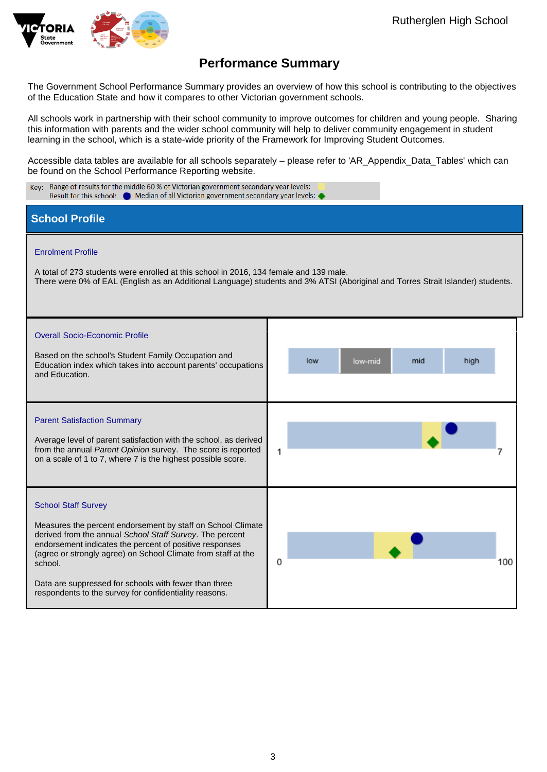

## **Performance Summary**

The Government School Performance Summary provides an overview of how this school is contributing to the objectives of the Education State and how it compares to other Victorian government schools.

All schools work in partnership with their school community to improve outcomes for children and young people. Sharing this information with parents and the wider school community will help to deliver community engagement in student learning in the school, which is a state-wide priority of the Framework for Improving Student Outcomes.

Accessible data tables are available for all schools separately – please refer to 'AR\_Appendix\_Data\_Tables' which can be found on the School Performance Reporting website.

| Key: Range of results for the middle 60 % of Victorian government secondary year levels:<br>Result for this school: • Median of all Victorian government secondary year levels: •                                                                                                                                                                                                                               |                                                                                                                                 |  |  |
|-----------------------------------------------------------------------------------------------------------------------------------------------------------------------------------------------------------------------------------------------------------------------------------------------------------------------------------------------------------------------------------------------------------------|---------------------------------------------------------------------------------------------------------------------------------|--|--|
| <b>School Profile</b>                                                                                                                                                                                                                                                                                                                                                                                           |                                                                                                                                 |  |  |
| <b>Enrolment Profile</b><br>A total of 273 students were enrolled at this school in 2016, 134 female and 139 male.                                                                                                                                                                                                                                                                                              | There were 0% of EAL (English as an Additional Language) students and 3% ATSI (Aboriginal and Torres Strait Islander) students. |  |  |
| <b>Overall Socio-Economic Profile</b><br>Based on the school's Student Family Occupation and<br>Education index which takes into account parents' occupations<br>and Education.                                                                                                                                                                                                                                 | mid<br>low<br>high<br>low-mid                                                                                                   |  |  |
| <b>Parent Satisfaction Summary</b><br>Average level of parent satisfaction with the school, as derived<br>from the annual Parent Opinion survey. The score is reported<br>on a scale of 1 to 7, where 7 is the highest possible score.                                                                                                                                                                          | 1                                                                                                                               |  |  |
| <b>School Staff Survey</b><br>Measures the percent endorsement by staff on School Climate<br>derived from the annual School Staff Survey. The percent<br>endorsement indicates the percent of positive responses<br>(agree or strongly agree) on School Climate from staff at the<br>school.<br>Data are suppressed for schools with fewer than three<br>respondents to the survey for confidentiality reasons. | 0<br>100                                                                                                                        |  |  |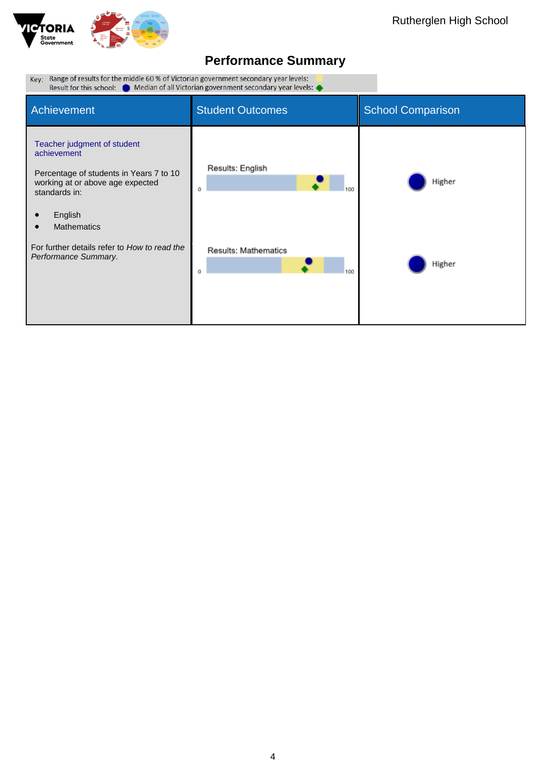

| Key: Range of results for the middle 60 % of Victorian government secondary year levels:<br>Result for this school: $\bullet$ Median of all Victorian government secondary year levels: $\bullet$                                                   |                                                    |                          |  |
|-----------------------------------------------------------------------------------------------------------------------------------------------------------------------------------------------------------------------------------------------------|----------------------------------------------------|--------------------------|--|
| Achievement                                                                                                                                                                                                                                         | <b>Student Outcomes</b>                            | <b>School Comparison</b> |  |
| Teacher judgment of student<br>achievement<br>Percentage of students in Years 7 to 10<br>working at or above age expected<br>standards in:<br>English<br><b>Mathematics</b><br>For further details refer to How to read the<br>Performance Summary. | Results: English<br>Ű<br>Results: Mathematics<br>Ű | Higher<br>Higher         |  |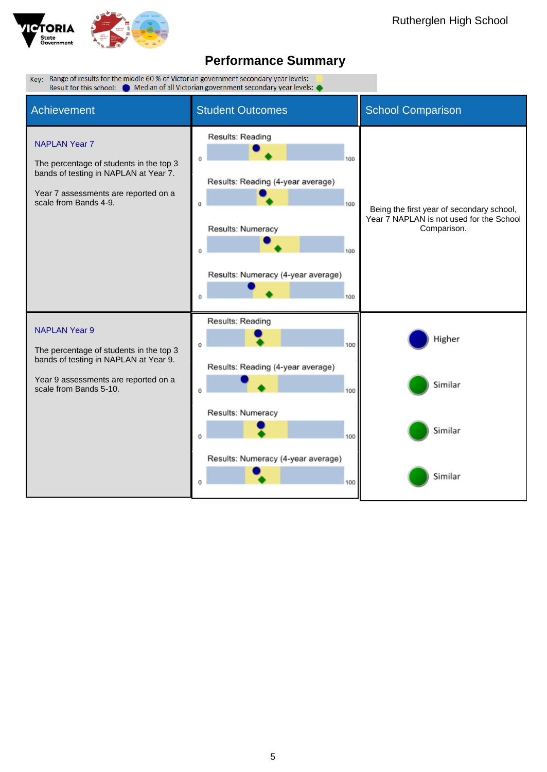

| Key: Range of results for the middle 60 % of Victorian government secondary year levels:<br>Result for this school:<br><b>Median of all Victorian government secondary year levels:</b> |                                                                                                                                                   |                                                                                                      |
|-----------------------------------------------------------------------------------------------------------------------------------------------------------------------------------------|---------------------------------------------------------------------------------------------------------------------------------------------------|------------------------------------------------------------------------------------------------------|
| Achievement                                                                                                                                                                             | <b>Student Outcomes</b>                                                                                                                           | <b>School Comparison</b>                                                                             |
| <b>NAPLAN Year 7</b><br>The percentage of students in the top 3<br>bands of testing in NAPLAN at Year 7.<br>Year 7 assessments are reported on a<br>scale from Bands 4-9.               | Results: Reading<br>100<br>Results: Reading (4-year average)<br>100<br>Results: Numeracy<br>100<br>Results: Numeracy (4-year average)<br>100<br>0 | Being the first year of secondary school,<br>Year 7 NAPLAN is not used for the School<br>Comparison. |
| <b>NAPLAN Year 9</b><br>The percentage of students in the top 3<br>bands of testing in NAPLAN at Year 9.                                                                                | Results: Reading<br>100<br>$\Omega$<br>Results: Reading (4-year average)                                                                          | Higher                                                                                               |
| Year 9 assessments are reported on a<br>scale from Bands 5-10.                                                                                                                          | 100<br>Results: Numeracy<br>100<br>Results: Numeracy (4-year average)<br>100<br>0                                                                 | Similar<br>Similar<br>Similar                                                                        |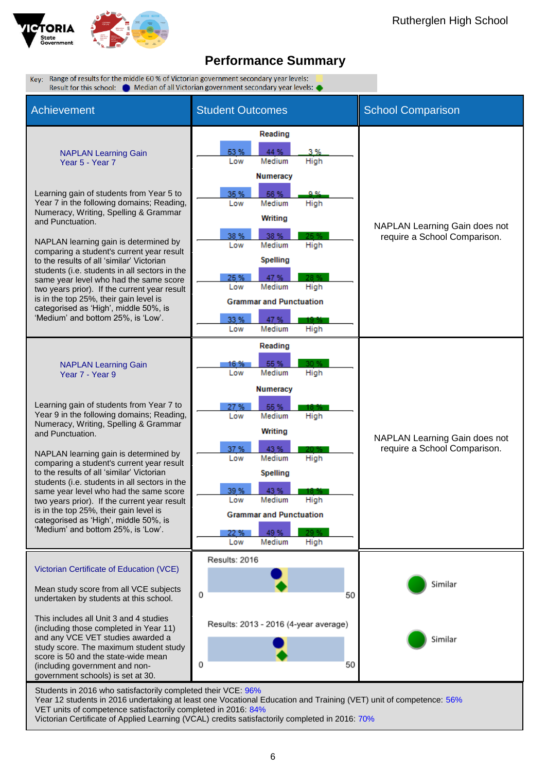

Key: Range of results for the middle 60 % of Victorian government secondary year levels: Result for this school: Come Median of all Victorian government secondary year levels: Achievement Student Outcomes School Comparison Reading 53 % 44 % 3 % NAPLAN Learning Gain Low Medium Year 5 - Year 7 High **Numeracy** Learning gain of students from Year 5 to 35 % **ER %** Year 7 in the following domains; Reading, Low Medium High Numeracy, Writing, Spelling & Grammar Writing and Punctuation. NAPLAN Learning Gain does not 38 % 38 % require a School Comparison. NAPLAN learning gain is determined by Low Medium High comparing a student's current year result **Spelling** to the results of all 'similar' Victorian students (i.e. students in all sectors in the 47 % same year level who had the same score Low Medium High two years prior). If the current year result is in the top 25%, their gain level is **Grammar and Punctuation** categorised as 'High', middle 50%, is 'Medium' and bottom 25%, is 'Low'. 33% 47% Medium Low High Reading **FF %**  NAPLAN Learning Gain 16 % Low Medium High Year 7 - Year 9 **Numeracy** Learning gain of students from Year 7 to Year 9 in the following domains; Reading, Low Medium High Numeracy, Writing, Spelling & Grammar Writing and Punctuation. NAPLAN Learning Gain does not 37% 43% require a School Comparison. NAPLAN learning gain is determined by Low Medium High comparing a student's current year result to the results of all 'similar' Victorian Spelling students (i.e. students in all sectors in the 43% same year level who had the same score 39 % two years prior). If the current year result Low Medium High is in the top 25%, their gain level is **Grammar and Punctuation** categorised as 'High', middle 50%, is 'Medium' and bottom 25%, is 'Low'. 49% 22 % Low Medium High Results: 2016 Victorian Certificate of Education (VCE) Similar Mean study score from all VCE subjects  $\Omega$ 50 undertaken by students at this school. This includes all Unit 3 and 4 studies Results: 2013 - 2016 (4-year average) (including those completed in Year 11) and any VCE VET studies awarded a Similar study score. The maximum student study score is 50 and the state-wide mean  $\mathbf 0$ 50 (including government and nongovernment schools) is set at 30. Students in 2016 who satisfactorily completed their VCE: 96% Year 12 students in 2016 undertaking at least one Vocational Education and Training (VET) unit of competence: 56%

VET units of competence satisfactorily completed in 2016: 84% Victorian Certificate of Applied Learning (VCAL) credits satisfactorily completed in 2016: 70%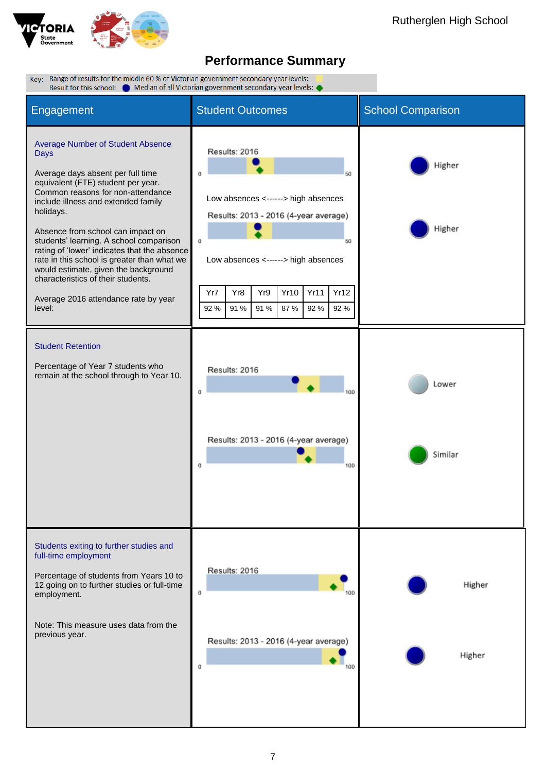

| Key: Range of results for the middle 60 % of Victorian government secondary year levels:<br>Result for this school: @ Median of all Victorian government secondary year levels: ●                                                                                                                                                                                                                                                                                                                                                   |                                                                                                                                                                                                                                                          |                          |  |
|-------------------------------------------------------------------------------------------------------------------------------------------------------------------------------------------------------------------------------------------------------------------------------------------------------------------------------------------------------------------------------------------------------------------------------------------------------------------------------------------------------------------------------------|----------------------------------------------------------------------------------------------------------------------------------------------------------------------------------------------------------------------------------------------------------|--------------------------|--|
| Engagement                                                                                                                                                                                                                                                                                                                                                                                                                                                                                                                          | <b>Student Outcomes</b>                                                                                                                                                                                                                                  | <b>School Comparison</b> |  |
| <b>Average Number of Student Absence</b><br>Days<br>Average days absent per full time<br>equivalent (FTE) student per year.<br>Common reasons for non-attendance<br>include illness and extended family<br>holidays.<br>Absence from school can impact on<br>students' learning. A school comparison<br>rating of 'lower' indicates that the absence<br>rate in this school is greater than what we<br>would estimate, given the background<br>characteristics of their students.<br>Average 2016 attendance rate by year<br>level: | Results: 2016<br>60<br>Low absences <------> high absences<br>Results: 2013 - 2016 (4-year average)<br>0<br>50<br>Low absences <------> high absences<br>Yr8<br>Yr9<br><b>Yr10</b><br>Yr11<br>Yr12<br>Yr7<br>91 %<br>91 %<br>87%<br>92 %<br>92 %<br>92 % | Higher<br>Higher         |  |
| <b>Student Retention</b><br>Percentage of Year 7 students who<br>remain at the school through to Year 10.                                                                                                                                                                                                                                                                                                                                                                                                                           | Results: 2016<br>0<br>Results: 2013 - 2016 (4-year average)<br>100                                                                                                                                                                                       | Lower<br>Similar         |  |
| Students exiting to further studies and<br>full-time employment<br>Percentage of students from Years 10 to<br>12 going on to further studies or full-time<br>employment.<br>Note: This measure uses data from the<br>previous year.                                                                                                                                                                                                                                                                                                 | Results: 2016<br>$^{\circ}$<br>Results: 2013 - 2016 (4-year average)<br>0                                                                                                                                                                                | Higher<br>Higher         |  |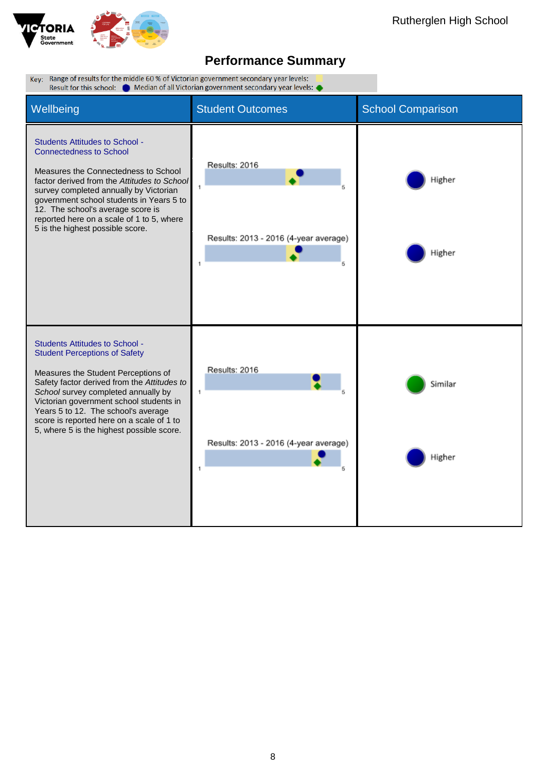

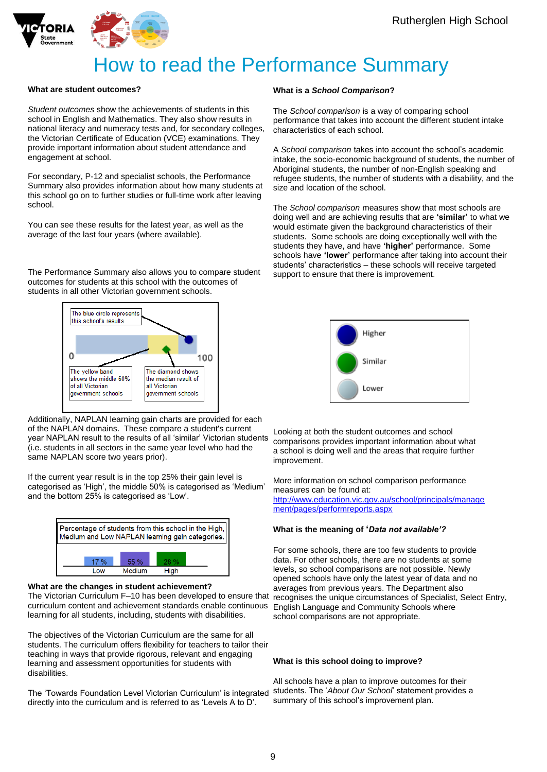![](_page_8_Picture_1.jpeg)

![](_page_8_Picture_2.jpeg)

# How to read the Performance Summary

### **What are student outcomes?**

*Student outcomes* show the achievements of students in this school in English and Mathematics. They also show results in national literacy and numeracy tests and, for secondary colleges, the Victorian Certificate of Education (VCE) examinations. They provide important information about student attendance and engagement at school.

For secondary, P-12 and specialist schools, the Performance Summary also provides information about how many students at this school go on to further studies or full-time work after leaving school.

You can see these results for the latest year, as well as the average of the last four years (where available).

The Performance Summary also allows you to compare student outcomes for students at this school with the outcomes of students in all other Victorian government schools.

![](_page_8_Figure_9.jpeg)

Additionally, NAPLAN learning gain charts are provided for each of the NAPLAN domains. These compare a student's current year NAPLAN result to the results of all 'similar' Victorian students (i.e. students in all sectors in the same year level who had the same NAPLAN score two years prior).

If the current year result is in the top 25% their gain level is categorised as 'High', the middle 50% is categorised as 'Medium' and the bottom 25% is categorised as 'Low'.

![](_page_8_Figure_12.jpeg)

#### **What are the changes in student achievement?**

The Victorian Curriculum F–10 has been developed to ensure that recognises the unique circumstances of Specialist, Select Entry, curriculum content and achievement standards enable continuous English Language and Community Schools where learning for all students, including, students with disabilities.

The objectives of the Victorian Curriculum are the same for all students. The curriculum offers flexibility for teachers to tailor their teaching in ways that provide rigorous, relevant and engaging learning and assessment opportunities for students with disabilities.

The 'Towards Foundation Level Victorian Curriculum' is integrated directly into the curriculum and is referred to as 'Levels A to D'.

### **What is a** *School Comparison***?**

The *School comparison* is a way of comparing school performance that takes into account the different student intake characteristics of each school.

A *School comparison* takes into account the school's academic intake, the socio-economic background of students, the number of Aboriginal students, the number of non-English speaking and refugee students, the number of students with a disability, and the size and location of the school.

The *School comparison* measures show that most schools are doing well and are achieving results that are **'similar'** to what we would estimate given the background characteristics of their students. Some schools are doing exceptionally well with the students they have, and have **'higher'** performance. Some schools have **'lower'** performance after taking into account their students' characteristics – these schools will receive targeted support to ensure that there is improvement.

![](_page_8_Picture_21.jpeg)

Looking at both the student outcomes and school comparisons provides important information about what a school is doing well and the areas that require further improvement.

More information on school comparison performance measures can be found at: [http://www.education.vic.gov.au/school/principals/manage](http://www.education.vic.gov.au/school/principals/management/pages/performreports.aspx) [ment/pages/performreports.aspx](http://www.education.vic.gov.au/school/principals/management/pages/performreports.aspx)

#### **What is the meaning of '***Data not available'?*

For some schools, there are too few students to provide data. For other schools, there are no students at some levels, so school comparisons are not possible. Newly opened schools have only the latest year of data and no averages from previous years. The Department also school comparisons are not appropriate.

#### **What is this school doing to improve?**

All schools have a plan to improve outcomes for their students. The '*About Our School*' statement provides a summary of this school's improvement plan.